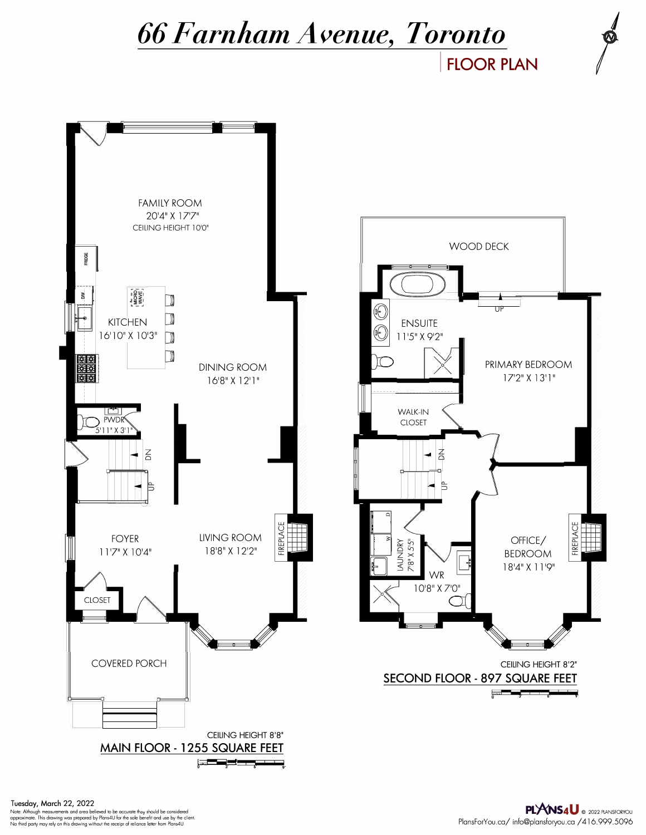## *66 Farnham Avenue, Toronto*

**FLOOR PLAN** 



Note: Although measurements and area believed to be accurate they should be considered<br>approximate. This drawing was prepared by Plans4U for the sole benefit and use by the client.<br>No third party may rely on this drawing w